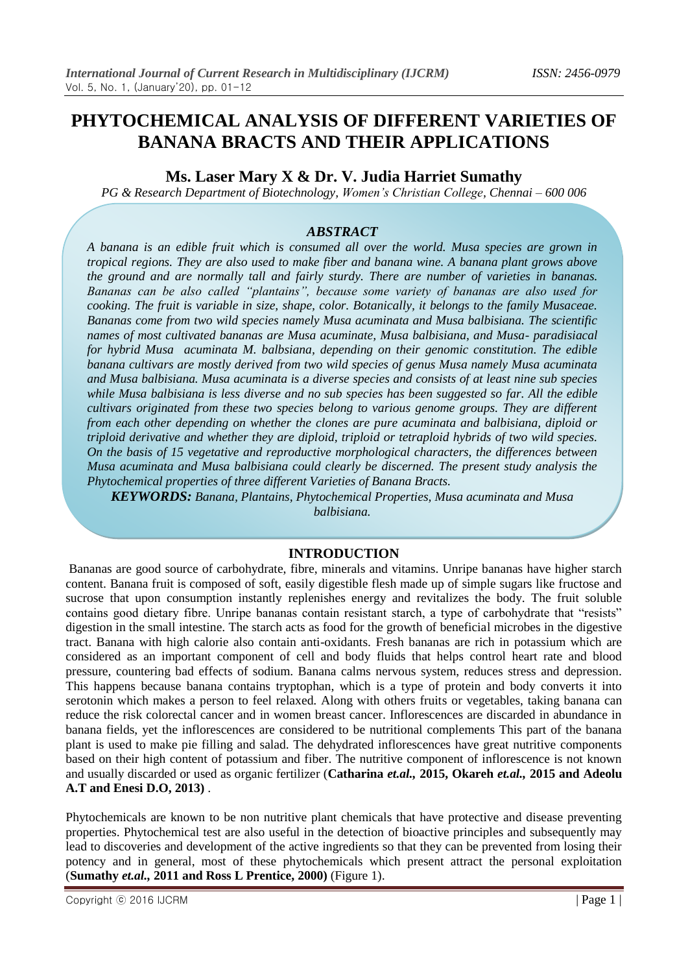# **PHYTOCHEMICAL ANALYSIS OF DIFFERENT VARIETIES OF BANANA BRACTS AND THEIR APPLICATIONS**

### **Ms. Laser Mary X & Dr. V. Judia Harriet Sumathy**

*PG & Research Department of Biotechnology, Women's Christian College, Chennai – 600 006*

### *ABSTRACT*

*A banana is an edible fruit which is consumed all over the world. Musa species are grown in tropical regions. They are also used to make fiber and banana wine. A banana plant grows above the ground and are normally tall and fairly sturdy. There are number of varieties in bananas. Bananas can be also called "plantains", because some variety of bananas are also used for cooking. The fruit is variable in size, shape, color. Botanically, it belongs to the family Musaceae. Bananas come from two wild species namely Musa acuminata and Musa balbisiana. The scientific names of most cultivated bananas are Musa acuminate, Musa balbisiana, and Musa- paradisiacal for hybrid Musa acuminata M. balbsiana, depending on their genomic constitution. The edible banana cultivars are mostly derived from two wild species of genus Musa namely Musa acuminata and Musa balbisiana. Musa acuminata is a diverse species and consists of at least nine sub species while Musa balbisiana is less diverse and no sub species has been suggested so far. All the edible cultivars originated from these two species belong to various genome groups. They are different from each other depending on whether the clones are pure acuminata and balbisiana, diploid or triploid derivative and whether they are diploid, triploid or tetraploid hybrids of two wild species. On the basis of 15 vegetative and reproductive morphological characters, the differences between Musa acuminata and Musa balbisiana could clearly be discerned. The present study analysis the Phytochemical properties of three different Varieties of Banana Bracts.*

*KEYWORDS: Banana, Plantains, Phytochemical Properties, Musa acuminata and Musa balbisiana.*

### **INTRODUCTION**

Bananas are good source of carbohydrate, fibre, minerals and vitamins. Unripe bananas have higher starch content. Banana fruit is composed of soft, easily digestible flesh made up of simple sugars like fructose and sucrose that upon consumption instantly replenishes energy and revitalizes the body. The fruit soluble contains good dietary fibre. Unripe bananas contain resistant starch, a type of carbohydrate that "resists" digestion in the small intestine. The starch acts as food for the growth of beneficial microbes in the digestive tract. Banana with high calorie also contain anti-oxidants. Fresh bananas are rich in potassium which are considered as an important component of cell and body fluids that helps control heart rate and blood pressure, countering bad effects of sodium. Banana calms nervous system, reduces stress and depression. This happens because banana contains tryptophan, which is a type of protein and body converts it into serotonin which makes a person to feel relaxed. Along with others fruits or vegetables, taking banana can reduce the risk colorectal cancer and in women breast cancer. Inflorescences are discarded in abundance in banana fields, yet the inflorescences are considered to be nutritional complements This part of the banana plant is used to make pie filling and salad. The dehydrated inflorescences have great nutritive components based on their high content of potassium and fiber. The nutritive component of inflorescence is not known and usually discarded or used as organic fertilizer (**Catharina** *et.al.,* **2015, Okareh** *et.al.,* **2015 and Adeolu A.T and Enesi D.O, 2013)** .

Phytochemicals are known to be non nutritive plant chemicals that have protective and disease preventing properties. Phytochemical test are also useful in the detection of bioactive principles and subsequently may lead to discoveries and development of the active ingredients so that they can be prevented from losing their potency and in general, most of these phytochemicals which present attract the personal exploitation (**Sumathy** *et.al.,* **2011 and [Ross L Prentice,](https://www.ncbi.nlm.nih.gov/pubmed/?term=Prentice%20RL%5BAuthor%5D&cauthor=true&cauthor_uid=11250720) 2000)** (Figure 1).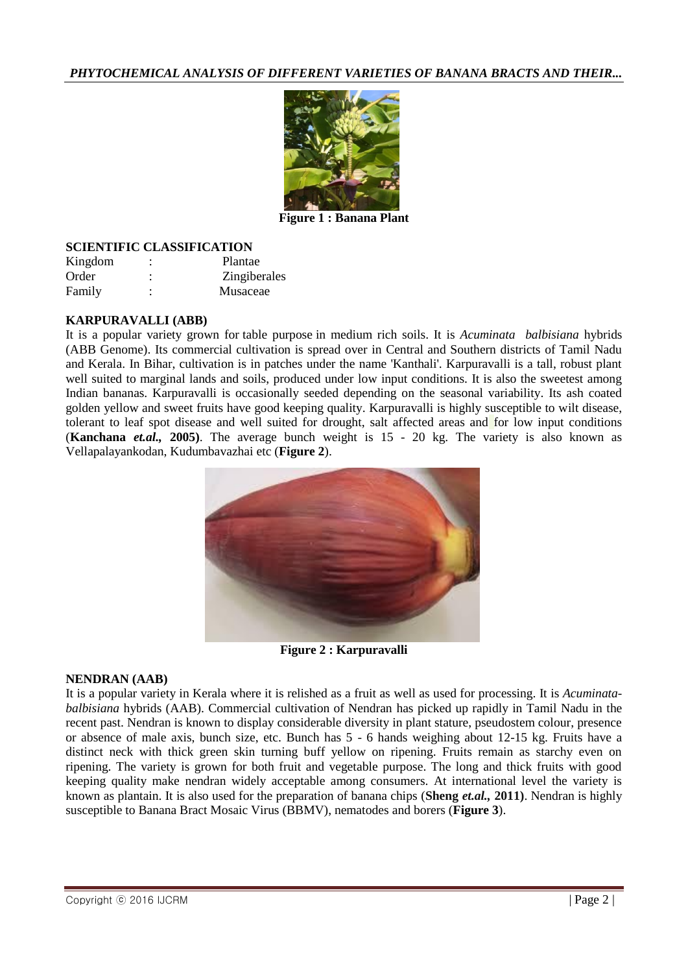

**Figure 1 : Banana Plant**

### **SCIENTIFIC CLASSIFICATION**

| Kingdom |           | Plantae             |
|---------|-----------|---------------------|
| Order   | $\bullet$ | <b>Zingiberales</b> |
| Family  | ۰         | Musaceae            |

#### **KARPURAVALLI (ABB)**

It is a popular variety grown for table purpose in medium rich soils. It is *Acuminata balbisiana* hybrids (ABB Genome). Its commercial cultivation is spread over in Central and Southern districts of Tamil Nadu and Kerala. In Bihar, cultivation is in patches under the name 'Kanthali'. Karpuravalli is a tall, robust plant well suited to marginal lands and soils, produced under low input conditions. It is also the sweetest among Indian bananas. Karpuravalli is occasionally seeded depending on the seasonal variability. Its ash coated golden yellow and sweet fruits have good keeping quality. Karpuravalli is highly susceptible to wilt disease, tolerant to leaf spot disease and well suited for drought, salt affected areas and for low input conditions (**Kanchana** *et.al.,* **2005)**. The average bunch weight is 15 - 20 kg. The variety is also known as Vellapalayankodan, Kudumbavazhai etc (**Figure 2**).



**Figure 2 : Karpuravalli**

#### **NENDRAN (AAB)**

It is a popular variety in Kerala where it is relished as a fruit as well as used for processing. It is *Acuminatabalbisiana* hybrids (AAB). Commercial cultivation of Nendran has picked up rapidly in Tamil Nadu in the recent past. Nendran is known to display considerable diversity in plant stature, pseudostem colour, presence or absence of male axis, bunch size, etc. Bunch has 5 - 6 hands weighing about 12-15 kg. Fruits have a distinct neck with thick green skin turning buff yellow on ripening. Fruits remain as starchy even on ripening. The variety is grown for both fruit and vegetable purpose. The long and thick fruits with good keeping quality make nendran widely acceptable among consumers. At international level the variety is known as plantain. It is also used for the preparation of banana chips (**Sheng** *et.al.,* **2011)**. Nendran is highly susceptible to Banana Bract Mosaic Virus (BBMV), nematodes and borers (**Figure 3**).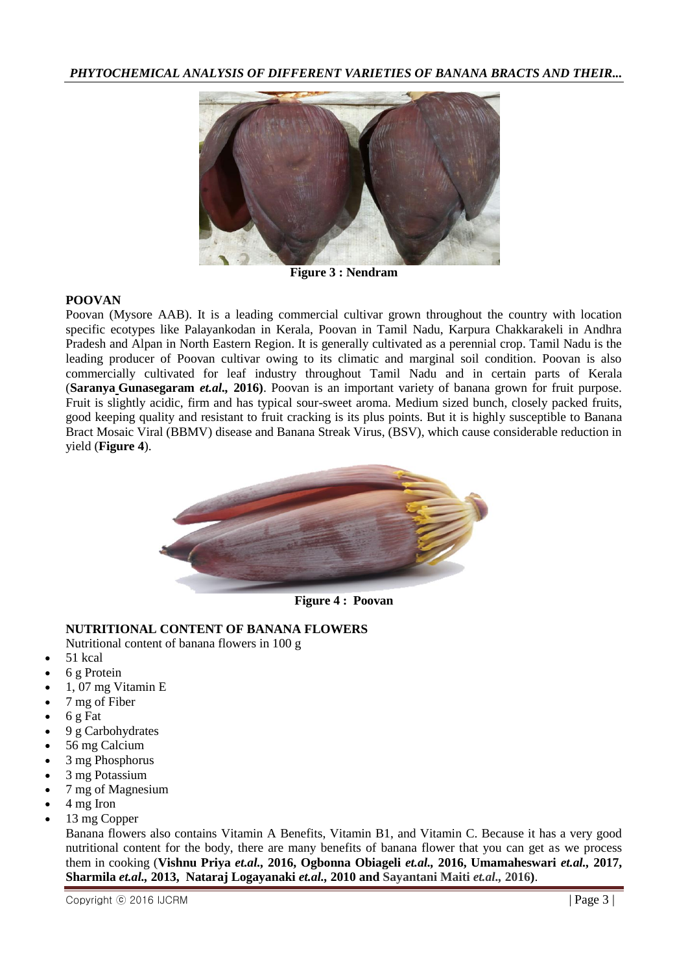

**Figure 3 : Nendram**

#### **POOVAN**

Poovan (Mysore AAB). It is a leading commercial cultivar grown throughout the country with location specific ecotypes like Palayankodan in Kerala, Poovan in Tamil Nadu, Karpura Chakkarakeli in Andhra Pradesh and Alpan in North Eastern Region. It is generally cultivated as a perennial crop. Tamil Nadu is the leading producer of Poovan cultivar owing to its climatic and marginal soil condition. Poovan is also commercially cultivated for leaf industry throughout Tamil Nadu and in certain parts of Kerala (**Saranya [Gunasegaram](https://www.hindawi.com/28206516/)** *et.al.,* **2016)**. Poovan is an important variety of banana grown for fruit purpose. Fruit is slightly acidic, firm and has typical sour-sweet aroma. Medium sized bunch, closely packed fruits, good keeping quality and resistant to fruit cracking is its plus points. But it is highly susceptible to Banana Bract Mosaic Viral (BBMV) disease and Banana Streak Virus, (BSV), which cause considerable reduction in yield (**Figure 4**).



**Figure 4 : Poovan**

### **NUTRITIONAL CONTENT OF BANANA FLOWERS**

Nutritional content of banana flowers in 100 g

- 51 kcal
- 6 g Protein
- 1, 07 mg Vitamin E
- 7 mg of Fiber
- 6 g Fat
- 9 g Carbohydrates
- 56 mg Calcium
- $\bullet$  3 mg Phosphorus
- 3 mg Potassium
- 7 mg of Magnesium
- 4 mg Iron
- 13 mg Copper

Banana flowers also contains [Vitamin A Benefits,](https://drhealthbenefits.com/vitamin-supplement/vitamin-a/vitamin-a-benefits) Vitamin B1, and Vitamin C. Because it has a very good nutritional content for the body, there are many benefits of banana flower that you can get as we process them in cooking (**Vishnu Priya** *et.al.,* **2016, Ogbonna Obiageli** *et.al.,* **2016, Umamaheswari** *et.al.,* **2017, Sharmila** *et.al.,* **2013, Nataraj Logayanaki** *et.al.,* **2010 and Sayantani Maiti** *et.al.,* **2016)**.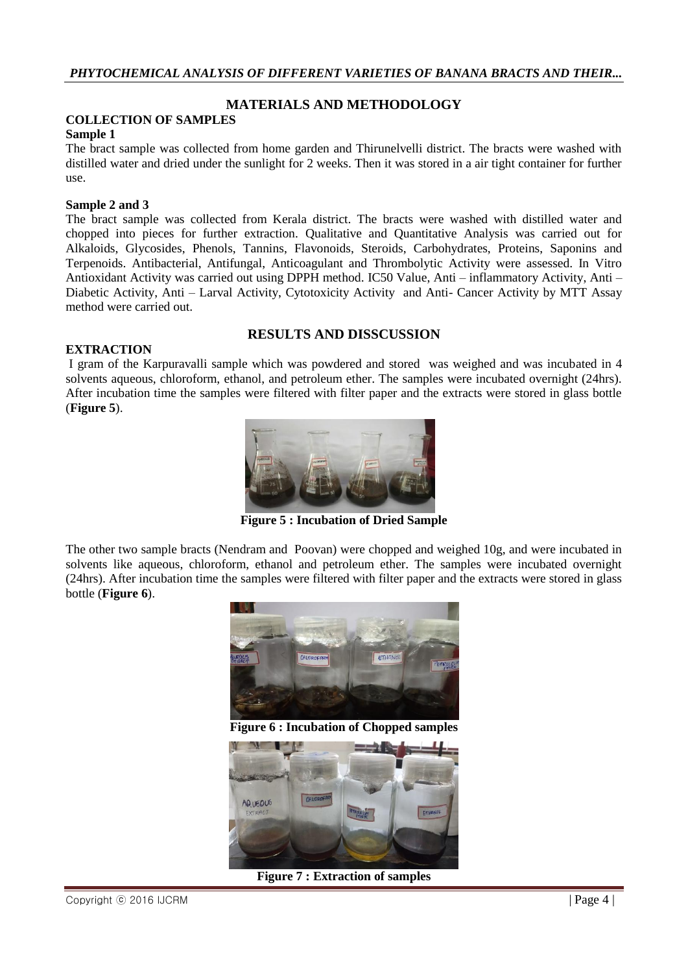### **MATERIALS AND METHODOLOGY**

#### **COLLECTION OF SAMPLES**

#### **Sample 1**

The bract sample was collected from home garden and Thirunelvelli district. The bracts were washed with distilled water and dried under the sunlight for 2 weeks. Then it was stored in a air tight container for further use.

#### **Sample 2 and 3**

The bract sample was collected from Kerala district. The bracts were washed with distilled water and chopped into pieces for further extraction. Qualitative and Quantitative Analysis was carried out for Alkaloids, Glycosides, Phenols, Tannins, Flavonoids, Steroids, Carbohydrates, Proteins, Saponins and Terpenoids. Antibacterial, Antifungal, Anticoagulant and Thrombolytic Activity were assessed. In Vitro Antioxidant Activity was carried out using DPPH method. IC50 Value, Anti – inflammatory Activity, Anti – Diabetic Activity, Anti – Larval Activity, Cytotoxicity Activity and Anti- Cancer Activity by MTT Assay method were carried out.

#### **EXTRACTION**

#### **RESULTS AND DISSCUSSION**

I gram of the Karpuravalli sample which was powdered and stored was weighed and was incubated in 4 solvents aqueous, chloroform, ethanol, and petroleum ether. The samples were incubated overnight (24hrs). After incubation time the samples were filtered with filter paper and the extracts were stored in glass bottle (**Figure 5**).



**Figure 5 : Incubation of Dried Sample**

The other two sample bracts (Nendram and Poovan) were chopped and weighed 10g, and were incubated in solvents like aqueous, chloroform, ethanol and petroleum ether. The samples were incubated overnight (24hrs). After incubation time the samples were filtered with filter paper and the extracts were stored in glass bottle (**Figure 6**).



**Figure 7 : Extraction of samples**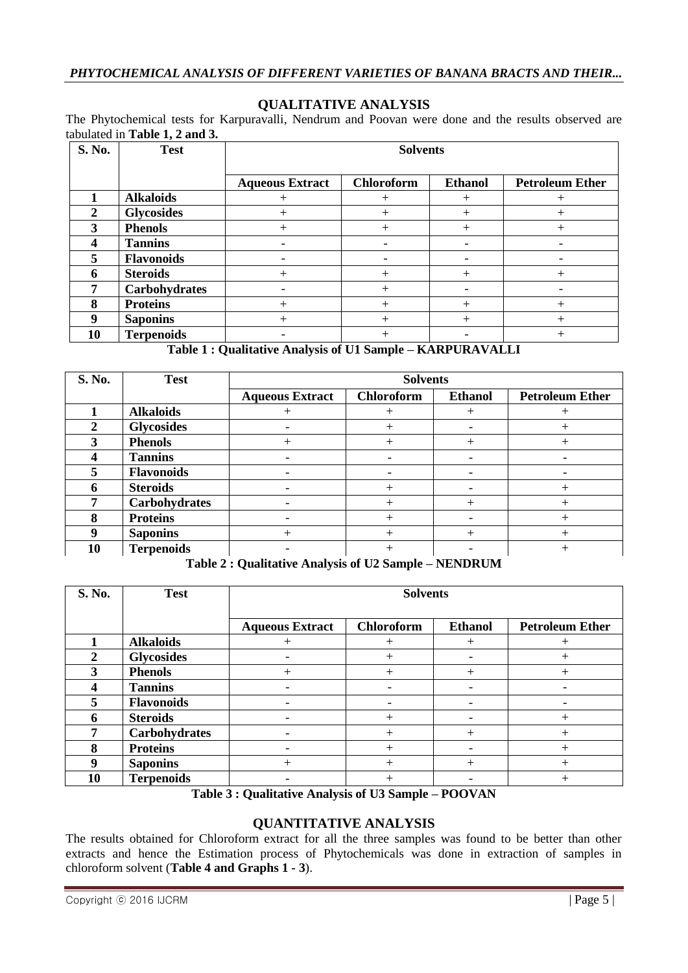#### **QUALITATIVE ANALYSIS**

The Phytochemical tests for Karpuravalli, Nendrum and Poovan were done and the results observed are tabulated in **Table 1, 2 and 3.**

| S. No.         | <b>Test</b>       | <b>Solvents</b>        |                   |                |                        |
|----------------|-------------------|------------------------|-------------------|----------------|------------------------|
|                |                   | <b>Aqueous Extract</b> | <b>Chloroform</b> | <b>Ethanol</b> | <b>Petroleum Ether</b> |
|                | <b>Alkaloids</b>  |                        |                   | $^+$           |                        |
| $\overline{2}$ | <b>Glycosides</b> |                        |                   | $\overline{+}$ |                        |
| 3              | <b>Phenols</b>    | ┿                      |                   | $\mathrm{+}$   |                        |
| 4              | <b>Tannins</b>    |                        | -                 |                |                        |
| 5              | <b>Flavonoids</b> |                        |                   |                |                        |
| 6              | <b>Steroids</b>   |                        |                   | $^+$           |                        |
| -              | Carbohydrates     |                        |                   |                |                        |
| 8              | <b>Proteins</b>   | ┿                      |                   | $^+$           |                        |
| 9              | <b>Saponins</b>   |                        |                   | $^+$           |                        |
| 10             | <b>Terpenoids</b> |                        |                   |                |                        |

### **Table 1 : Qualitative Analysis of U1 Sample – KARPURAVALLI**

| <b>S. No.</b> | <b>Test</b>       | <b>Solvents</b>        |            |                          |                        |
|---------------|-------------------|------------------------|------------|--------------------------|------------------------|
|               |                   | <b>Aqueous Extract</b> | Chloroform | <b>Ethanol</b>           | <b>Petroleum Ether</b> |
|               | <b>Alkaloids</b>  |                        |            |                          |                        |
|               | <b>Glycosides</b> |                        |            |                          |                        |
| 3             | <b>Phenols</b>    |                        |            |                          |                        |
|               | <b>Tannins</b>    |                        |            |                          |                        |
| 5             | <b>Flavonoids</b> |                        |            | $\overline{\phantom{0}}$ |                        |
| 6             | <b>Steroids</b>   |                        |            |                          |                        |
|               | Carbohydrates     |                        |            | $^+$                     |                        |
| 8             | <b>Proteins</b>   |                        |            |                          |                        |
|               | <b>Saponins</b>   |                        |            |                          |                        |
| 10            | <b>Terpenoids</b> |                        |            |                          |                        |

**Table 2 : Qualitative Analysis of U2 Sample – NENDRUM**

| S. No.       | <b>Test</b>       | <b>Solvents</b>        |                   |                |                        |
|--------------|-------------------|------------------------|-------------------|----------------|------------------------|
|              |                   | <b>Aqueous Extract</b> | <b>Chloroform</b> | <b>Ethanol</b> | <b>Petroleum Ether</b> |
|              | <b>Alkaloids</b>  |                        | $^{+}$            | $\, +$         |                        |
| $\mathbf{2}$ | <b>Glycosides</b> |                        | $\, +$            |                |                        |
| 3            | <b>Phenols</b>    | $^+$                   | $\, +$            | $+$            |                        |
|              | <b>Tannins</b>    |                        | -                 |                |                        |
| 5            | <b>Flavonoids</b> |                        |                   |                |                        |
| n            | <b>Steroids</b>   |                        | $^+$              |                |                        |
| 7            | Carbohydrates     |                        | $^+$              | $\, +$         |                        |
| 8            | <b>Proteins</b>   |                        |                   |                |                        |
| 9            | <b>Saponins</b>   |                        |                   | $+$            |                        |
| 10           | <b>Terpenoids</b> |                        |                   |                |                        |

**Table 3 : Qualitative Analysis of U3 Sample – POOVAN**

### **QUANTITATIVE ANALYSIS**

The results obtained for Chloroform extract for all the three samples was found to be better than other extracts and hence the Estimation process of Phytochemicals was done in extraction of samples in chloroform solvent (**Table 4 and Graphs 1 - 3**).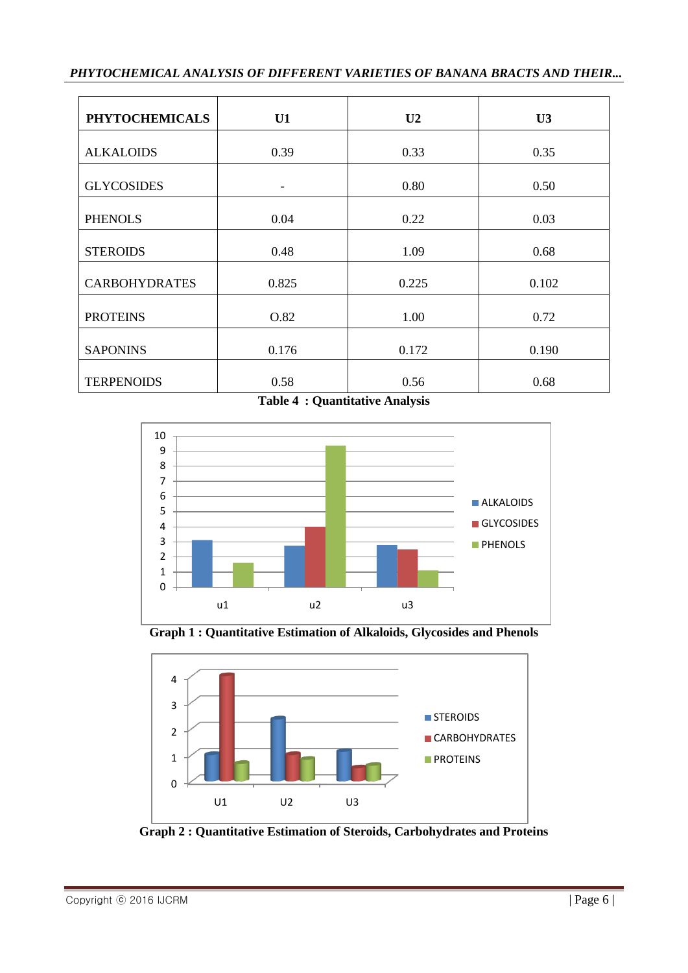| <b>PHYTOCHEMICALS</b> | U1    | U <sub>2</sub> | U3    |
|-----------------------|-------|----------------|-------|
| <b>ALKALOIDS</b>      | 0.39  | 0.33           | 0.35  |
| <b>GLYCOSIDES</b>     | -     | 0.80           | 0.50  |
| <b>PHENOLS</b>        | 0.04  | 0.22           | 0.03  |
| <b>STEROIDS</b>       | 0.48  | 1.09           | 0.68  |
| <b>CARBOHYDRATES</b>  | 0.825 | 0.225          | 0.102 |
| <b>PROTEINS</b>       | O.82  | 1.00           | 0.72  |
| <b>SAPONINS</b>       | 0.176 | 0.172          | 0.190 |
| <b>TERPENOIDS</b>     | 0.58  | 0.56           | 0.68  |

**Table 4 : Quantitative Analysis**



**Graph 1 : Quantitative Estimation of Alkaloids, Glycosides and Phenols**



**Graph 2 : Quantitative Estimation of Steroids, Carbohydrates and Proteins**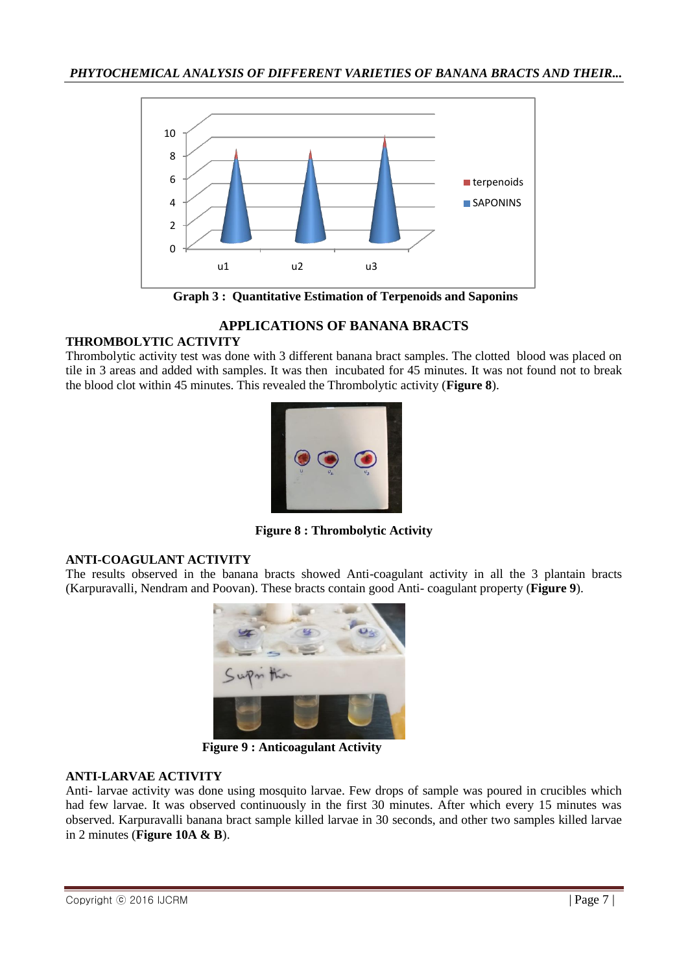

**Graph 3 : Quantitative Estimation of Terpenoids and Saponins**

## **APPLICATIONS OF BANANA BRACTS**

### **THROMBOLYTIC ACTIVITY**

Thrombolytic activity test was done with 3 different banana bract samples. The clotted blood was placed on tile in 3 areas and added with samples. It was then incubated for 45 minutes. It was not found not to break the blood clot within 45 minutes. This revealed the Thrombolytic activity (**Figure 8**).



**Figure 8 : Thrombolytic Activity**

### **ANTI-COAGULANT ACTIVITY**

The results observed in the banana bracts showed Anti-coagulant activity in all the 3 plantain bracts (Karpuravalli, Nendram and Poovan). These bracts contain good Anti- coagulant property (**Figure 9**).



 **Figure 9 : Anticoagulant Activity**

### **ANTI-LARVAE ACTIVITY**

Anti- larvae activity was done using mosquito larvae. Few drops of sample was poured in crucibles which had few larvae. It was observed continuously in the first 30 minutes. After which every 15 minutes was observed. Karpuravalli banana bract sample killed larvae in 30 seconds, and other two samples killed larvae in 2 minutes (**Figure 10A & B**).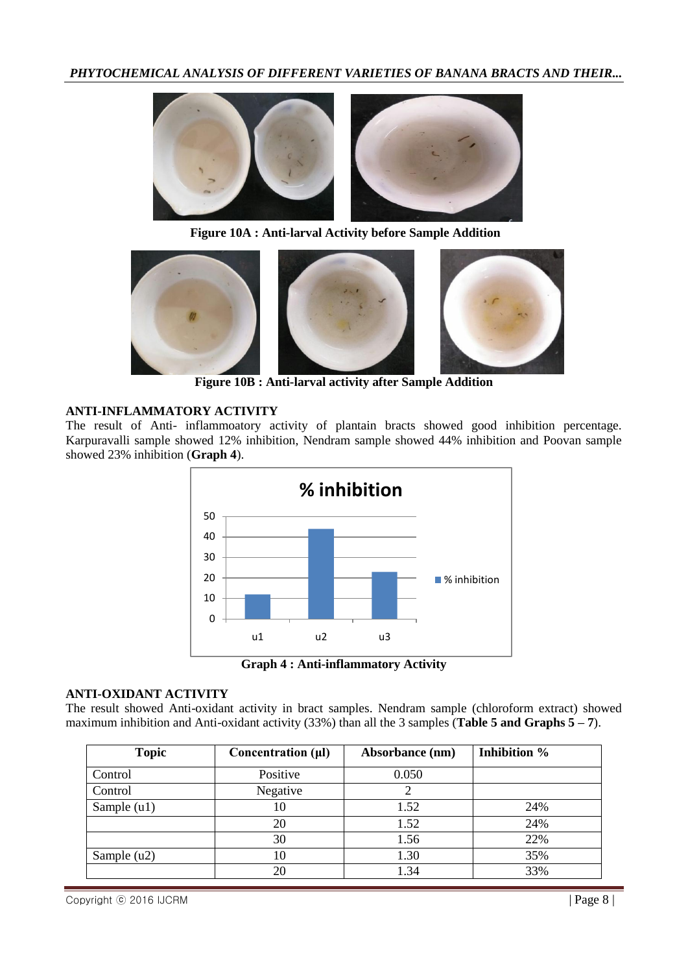

**Figure 10A : Anti-larval Activity before Sample Addition** 



**Figure 10B : Anti-larval activity after Sample Addition**

### **ANTI-INFLAMMATORY ACTIVITY**

The result of Anti- inflammoatory activity of plantain bracts showed good inhibition percentage. Karpuravalli sample showed 12% inhibition, Nendram sample showed 44% inhibition and Poovan sample showed 23% inhibition (**Graph 4**).



**Graph 4 : Anti-inflammatory Activity**

#### **ANTI-OXIDANT ACTIVITY**

The result showed Anti-oxidant activity in bract samples. Nendram sample (chloroform extract) showed maximum inhibition and Anti-oxidant activity (33%) than all the 3 samples (**Table 5 and Graphs 5 – 7**).

| <b>Topic</b>  | Concentration $(\mu I)$ | Absorbance (nm) | Inhibition % |
|---------------|-------------------------|-----------------|--------------|
| Control       | Positive                | 0.050           |              |
| Control       | Negative                |                 |              |
| Sample $(u1)$ | 10                      | 1.52            | 24%          |
|               | 20                      | 1.52            | 24%          |
|               | 30                      | 1.56            | 22%          |
| Sample $(u2)$ | 10                      | 1.30            | 35%          |
|               | 20                      | 1.34            | 33%          |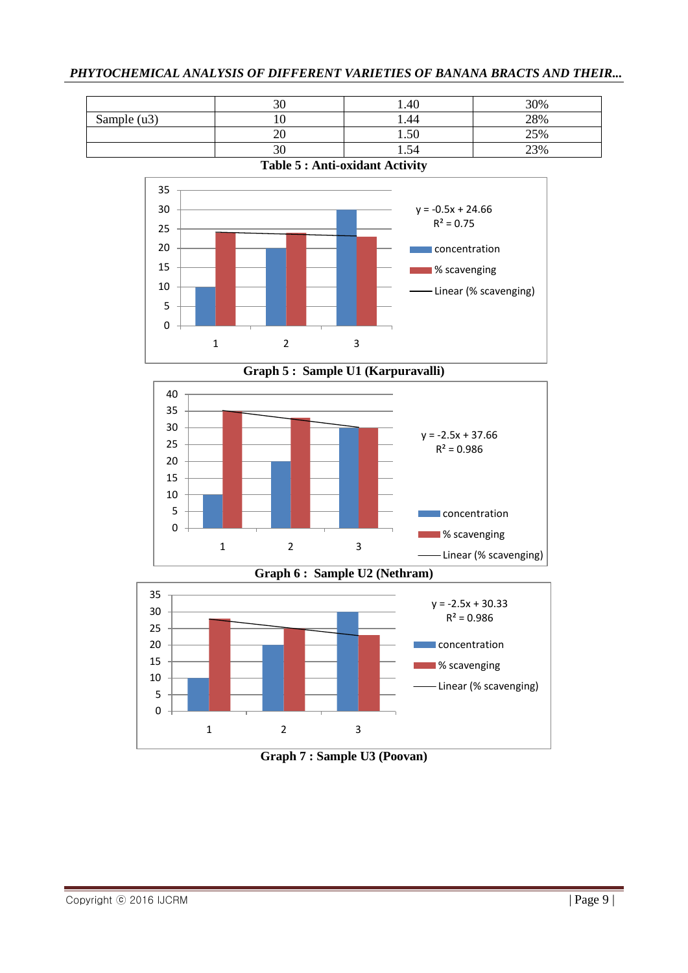|                                       | 30 | 1.40  | 30% |  |  |
|---------------------------------------|----|-------|-----|--|--|
| Sample $(u3)$                         |    | 44. ا | 28% |  |  |
|                                       |    | 1.50  | 25% |  |  |
| 30<br>23%<br>1.54                     |    |       |     |  |  |
| <b>Table 5: Anti-oxidant Activity</b> |    |       |     |  |  |







**Graph 6 : Sample U2 (Nethram)**



**Graph 7 : Sample U3 (Poovan)**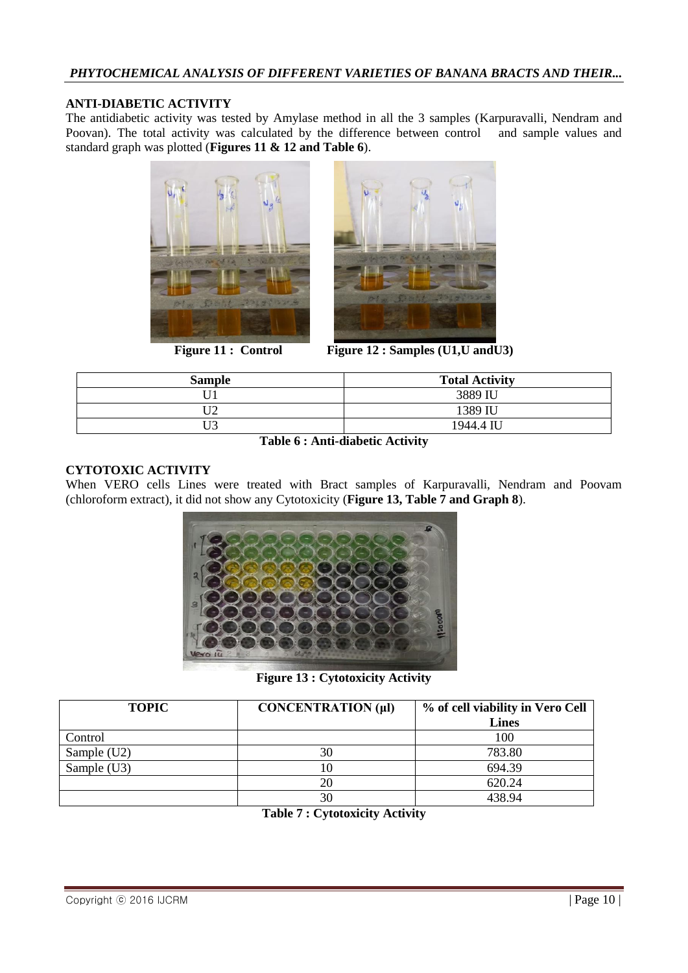### **ANTI-DIABETIC ACTIVITY**

The antidiabetic activity was tested by Amylase method in all the 3 samples (Karpuravalli, Nendram and Poovan). The total activity was calculated by the difference between control and sample values and standard graph was plotted (**Figures 11 & 12 and Table 6**).





**Figure 11 : Control Figure 12 : Samples (U1,U andU3)**

| <b>Sample</b> | <b>Total Activity</b> |
|---------------|-----------------------|
|               | 3889 IU               |
| г тл          | 1389 IU               |
| r T.A         | 1944.4 IU             |

**Table 6 : Anti-diabetic Activity**

### **CYTOTOXIC ACTIVITY**

When VERO cells Lines were treated with Bract samples of Karpuravalli, Nendram and Poovam (chloroform extract), it did not show any Cytotoxicity (**Figure 13, Table 7 and Graph 8**).



**Figure 13 : Cytotoxicity Activity**

| <b>TOPIC</b> | CONCENTRATION (µl) | % of cell viability in Vero Cell<br><b>Lines</b> |
|--------------|--------------------|--------------------------------------------------|
| Control      |                    | 100                                              |
| Sample (U2)  | 30                 | 783.80                                           |
| Sample (U3)  |                    | 694.39                                           |
|              | 20                 | 620.24                                           |
|              | 30                 | 438.94                                           |

**Table 7 : Cytotoxicity Activity**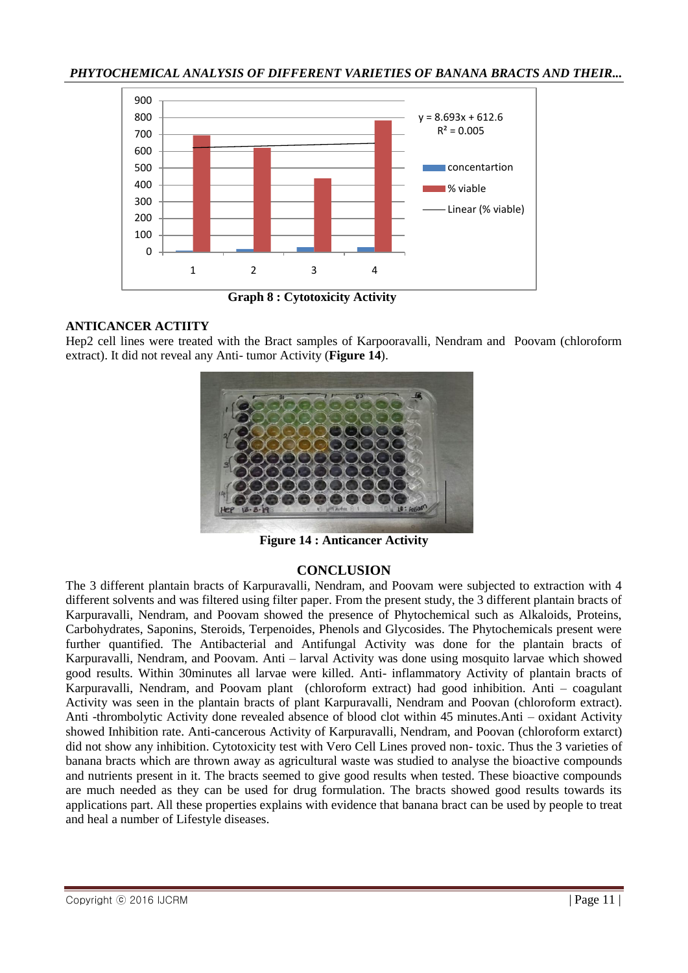

 **Graph 8 : Cytotoxicity Activity**

#### **ANTICANCER ACTIITY**

Hep2 cell lines were treated with the Bract samples of Karpooravalli, Nendram and Poovam (chloroform extract). It did not reveal any Anti- tumor Activity (**Figure 14**).



**Figure 14 : Anticancer Activity**

### **CONCLUSION**

The 3 different plantain bracts of Karpuravalli, Nendram, and Poovam were subjected to extraction with 4 different solvents and was filtered using filter paper. From the present study, the 3 different plantain bracts of Karpuravalli, Nendram, and Poovam showed the presence of Phytochemical such as Alkaloids, Proteins, Carbohydrates, Saponins, Steroids, Terpenoides, Phenols and Glycosides. The Phytochemicals present were further quantified. The Antibacterial and Antifungal Activity was done for the plantain bracts of Karpuravalli, Nendram, and Poovam. Anti – larval Activity was done using mosquito larvae which showed good results. Within 30minutes all larvae were killed. Anti- inflammatory Activity of plantain bracts of Karpuravalli, Nendram, and Poovam plant (chloroform extract) had good inhibition. Anti – coagulant Activity was seen in the plantain bracts of plant Karpuravalli, Nendram and Poovan (chloroform extract). Anti -thrombolytic Activity done revealed absence of blood clot within 45 minutes.Anti – oxidant Activity showed Inhibition rate. Anti-cancerous Activity of Karpuravalli, Nendram, and Poovan (chloroform extarct) did not show any inhibition. Cytotoxicity test with Vero Cell Lines proved non- toxic. Thus the 3 varieties of banana bracts which are thrown away as agricultural waste was studied to analyse the bioactive compounds and nutrients present in it. The bracts seemed to give good results when tested. These bioactive compounds are much needed as they can be used for drug formulation. The bracts showed good results towards its applications part. All these properties explains with evidence that banana bract can be used by people to treat and heal a number of Lifestyle diseases.